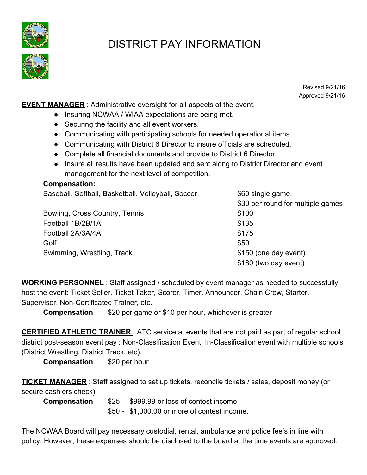

## DISTRICT PAY INFORMATION

Revised 9/21/16 Approved 9/21/16

**EVENT MANAGER** : Administrative oversight for all aspects of the event.

- Insuring NCWAA / WIAA expectations are being met.
- Securing the facility and all event workers.
- Communicating with participating schools for needed operational items.
- Communicating with District 6 Director to insure officials are scheduled.
- Complete all financial documents and provide to District 6 Director.
- Insure all results have been updated and sent along to District Director and event management for the next level of competition.

## **Compensation:**

Baseball, Softball, Basketball, Volleyball, Soccer \$60 single game,

Bowling, Cross Country, Tennis **\$100** Football 1B/2B/1A \$135 Football 2A/3A/4A  $$175$  $\bullet$  Golf  $\$50$ Swimming, Wrestling, Track  $$150$  (one day event)

\$30 per round for multiple games \$180 (two day event)

**WORKING PERSONNEL** : Staff assigned / scheduled by event manager as needed to successfully host the event: Ticket Seller, Ticket Taker, Scorer, Timer, Announcer, Chain Crew, Starter, Supervisor, Non-Certificated Trainer, etc.

**Compensation :** \$20 per game or \$10 per hour, whichever is greater

**CERTIFIED ATHLETIC TRAINER** : ATC service at events that are not paid as part of regular school district post-season event pay : Non-Classification Event, In-Classification event with multiple schools (District Wrestling, District Track, etc).

**Compensation : \$20 per hour** 

**TICKET MANAGER** : Staff assigned to set up tickets, reconcile tickets / sales, deposit money (or secure cashiers check).

**Compensation** : \$25 - \$999.99 or less of contest income \$50 - \$1,000.00 or more of contest income.

The NCWAA Board will pay necessary custodial, rental, ambulance and police fee's in line with policy. However, these expenses should be disclosed to the board at the time events are approved.